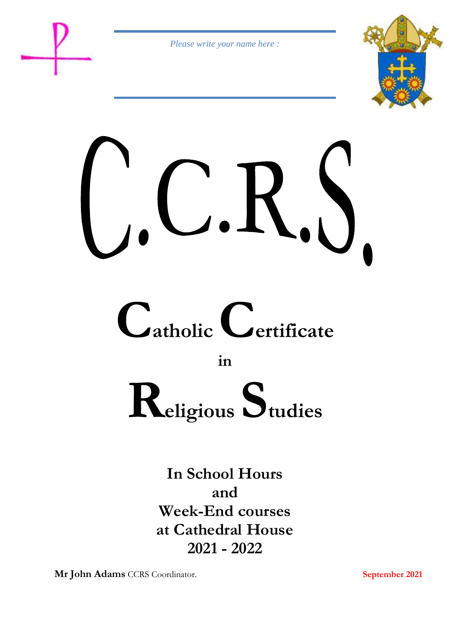*Please write your name here :*









**in** 

# **Religious Studies**

**In School Hours and Week-End courses at Cathedral House 2021 - 2022**

**Mr John Adams** CCRS Coordinator. **September 2021**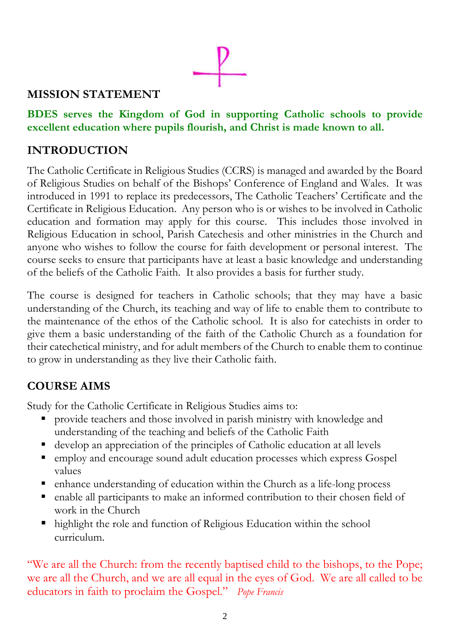# **MISSION STATEMENT**

# **BDES serves the Kingdom of God in supporting Catholic schools to provide excellent education where pupils flourish, and Christ is made known to all.**

# **INTRODUCTION**

The Catholic Certificate in Religious Studies (CCRS) is managed and awarded by the Board of Religious Studies on behalf of the Bishops' Conference of England and Wales. It was introduced in 1991 to replace its predecessors, The Catholic Teachers' Certificate and the Certificate in Religious Education. Any person who is or wishes to be involved in Catholic education and formation may apply for this course. This includes those involved in Religious Education in school, Parish Catechesis and other ministries in the Church and anyone who wishes to follow the course for faith development or personal interest. The course seeks to ensure that participants have at least a basic knowledge and understanding of the beliefs of the Catholic Faith. It also provides a basis for further study.

The course is designed for teachers in Catholic schools; that they may have a basic understanding of the Church, its teaching and way of life to enable them to contribute to the maintenance of the ethos of the Catholic school. It is also for catechists in order to give them a basic understanding of the faith of the Catholic Church as a foundation for their catechetical ministry, and for adult members of the Church to enable them to continue to grow in understanding as they live their Catholic faith.

# **COURSE AIMS**

Study for the Catholic Certificate in Religious Studies aims to:

- provide teachers and those involved in parish ministry with knowledge and understanding of the teaching and beliefs of the Catholic Faith
- develop an appreciation of the principles of Catholic education at all levels
- employ and encourage sound adult education processes which express Gospel values
- enhance understanding of education within the Church as a life-long process
- enable all participants to make an informed contribution to their chosen field of work in the Church
- highlight the role and function of Religious Education within the school curriculum.

"We are all the Church: from the recently baptised child to the bishops, to the Pope; we are all the Church, and we are all equal in the eyes of God. We are all called to be educators in faith to proclaim the Gospel." *Pope Francis*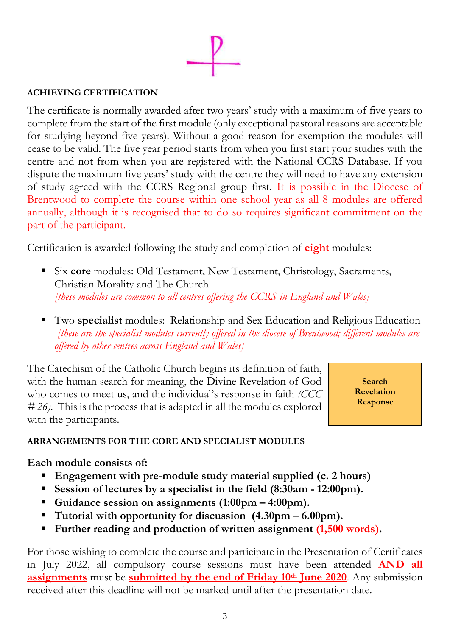## **ACHIEVING CERTIFICATION**

The certificate is normally awarded after two years' study with a maximum of five years to complete from the start of the first module (only exceptional pastoral reasons are acceptable for studying beyond five years). Without a good reason for exemption the modules will cease to be valid. The five year period starts from when you first start your studies with the centre and not from when you are registered with the National CCRS Database. If you dispute the maximum five years' study with the centre they will need to have any extension of study agreed with the CCRS Regional group first. It is possible in the Diocese of Brentwood to complete the course within one school year as all 8 modules are offered annually, although it is recognised that to do so requires significant commitment on the part of the participant.

Certification is awarded following the study and completion of **eight** modules:

- Six **core** modules: Old Testament, New Testament, Christology, Sacraments, Christian Morality and The Church *[these modules are common to all centres offering the CCRS in England and Wales]*
- Two **specialist** modules: Relationship and Sex Education and Religious Education *[these are the specialist modules currently offered in the diocese of Brentwood; different modules are offered by other centres across England and Wales]*

The Catechism of the Catholic Church begins its definition of faith, with the human search for meaning, the Divine Revelation of God who comes to meet us, and the individual's response in faith *(CCC # 26).* This is the process that is adapted in all the modules explored with the participants.

**Search Revelation Response**

# **ARRANGEMENTS FOR THE CORE AND SPECIALIST MODULES**

# **Each module consists of:**

- **Engagement with pre-module study material supplied (c. 2 hours)**
- **Session of lectures by a specialist in the field (8:30am - 12:00pm).**
- **Guidance session on assignments (1:00pm – 4:00pm).**
- **Tutorial with opportunity for discussion (4.30pm – 6.00pm).**
- **Further reading and production of written assignment (1,500 words).**

For those wishing to complete the course and participate in the Presentation of Certificates in July 2022, all compulsory course sessions must have been attended **AND all assignments** must be **submitted by the end of Friday 10th June 2020**. Any submission received after this deadline will not be marked until after the presentation date.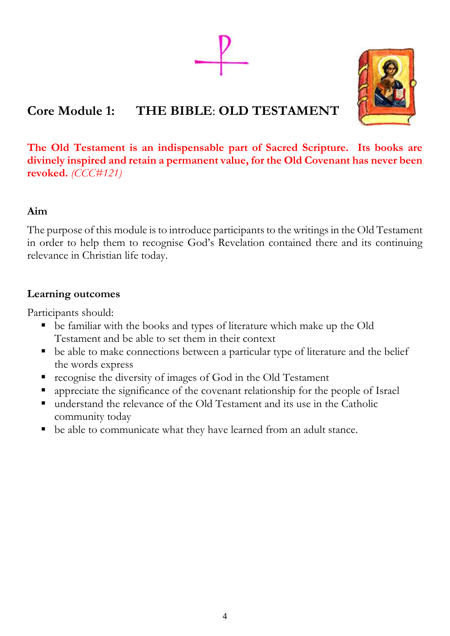# **Core Module 1: THE BIBLE**: **OLD TESTAMENT**



**The Old Testament is an indispensable part of Sacred Scripture. Its books are divinely inspired and retain a permanent value, for the Old Covenant has never been revoked.** *(CCC#121)*

# **Aim**

The purpose of this module is to introduce participants to the writings in the Old Testament in order to help them to recognise God's Revelation contained there and its continuing relevance in Christian life today.

# **Learning outcomes**

Participants should:

- be familiar with the books and types of literature which make up the Old Testament and be able to set them in their context
- be able to make connections between a particular type of literature and the belief the words express
- recognise the diversity of images of God in the Old Testament
- appreciate the significance of the covenant relationship for the people of Israel
- understand the relevance of the Old Testament and its use in the Catholic community today
- be able to communicate what they have learned from an adult stance.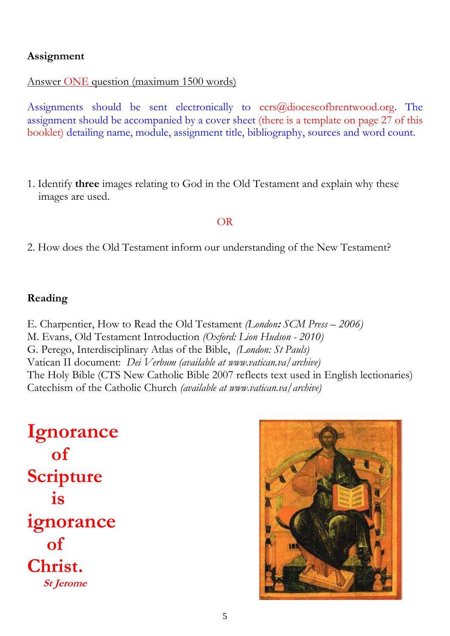# Answer ONE question (maximum 1500 words)

Assignments should be sent electronically to  $ccrs@diocescofbrentwood.org$ . The assignment should be accompanied by a cover sheet (there is a template on page 27 of this booklet) detailing name, module, assignment title, bibliography, sources and word count.

1. Identify **three** images relating to God in the Old Testament and explain why these images are used.

## OR

2. How does the Old Testament inform our understanding of the New Testament?

# **Reading**

E. Charpentier, How to Read the Old Testament *(London***:** *SCM Press – 2006)* M. Evans, Old Testament Introduction *(Oxford: Lion Hudson - 2010)* G. Perego, Interdisciplinary Atlas of the Bible, *(London: St Pauls)* Vatican II document: *Dei Verbum (available at www.vatican.va/archive)* The Holy Bible (CTS New Catholic Bible 2007 reflects text used in English lectionaries) Catechism of the Catholic Church *(available at www.vatican.va/archive)*

**Ignorance of Scripture is ignorance of Christ. St Jerome**

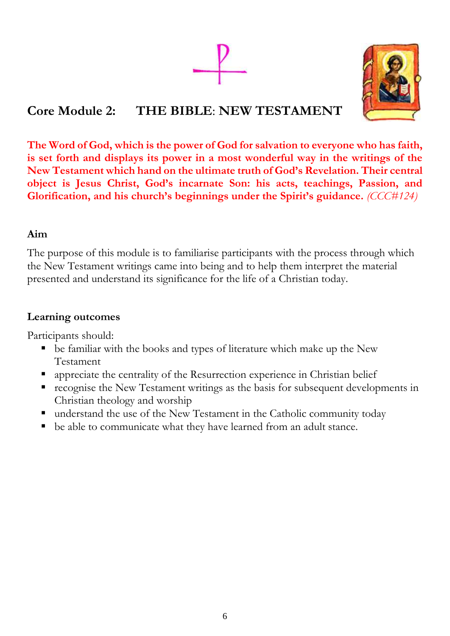# **Core Module 2: THE BIBLE**: **NEW TESTAMENT**



**The Word of God, which is the power of God for salvation to everyone who has faith, is set forth and displays its power in a most wonderful way in the writings of the New Testament which hand on the ultimate truth of God's Revelation. Their central object is Jesus Christ, God's incarnate Son: his acts, teachings, Passion, and Glorification, and his church's beginnings under the Spirit's guidance.** *(CCC#124)*

# **Aim**

The purpose of this module is to familiarise participants with the process through which the New Testament writings came into being and to help them interpret the material presented and understand its significance for the life of a Christian today.

# **Learning outcomes**

Participants should:

- be familiar with the books and types of literature which make up the New Testament
- appreciate the centrality of the Resurrection experience in Christian belief
- recognise the New Testament writings as the basis for subsequent developments in Christian theology and worship
- understand the use of the New Testament in the Catholic community today
- be able to communicate what they have learned from an adult stance.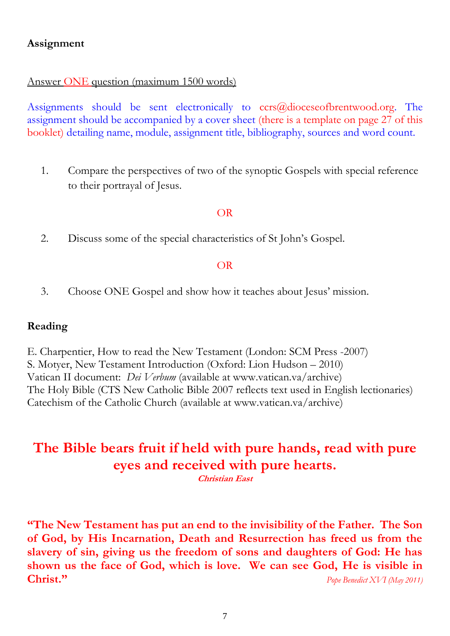# Answer ONE question (maximum 1500 words)

Assignments should be sent electronically to  $ccrs@diocescofbrentwood.org$ . The assignment should be accompanied by a cover sheet (there is a template on page 27 of this booklet) detailing name, module, assignment title, bibliography, sources and word count.

1. Compare the perspectives of two of the synoptic Gospels with special reference to their portrayal of Jesus.

## OR

2. Discuss some of the special characteristics of St John's Gospel.

## OR

3. Choose ONE Gospel and show how it teaches about Jesus' mission.

# **Reading**

E. Charpentier, How to read the New Testament (London: SCM Press -2007) S. Motyer, New Testament Introduction (Oxford: Lion Hudson – 2010) Vatican II document: *Dei Verbum* (available at www.vatican.va/archive) The Holy Bible (CTS New Catholic Bible 2007 reflects text used in English lectionaries) Catechism of the Catholic Church (available at www.vatican.va/archive)

# **The Bible bears fruit if held with pure hands, read with pure eyes and received with pure hearts.**

**Christian East**

**"The New Testament has put an end to the invisibility of the Father. The Son of God, by His Incarnation, Death and Resurrection has freed us from the slavery of sin, giving us the freedom of sons and daughters of God: He has shown us the face of God, which is love. We can see God, He is visible in Christ."** *Pope Benedict XVI (May 2011)*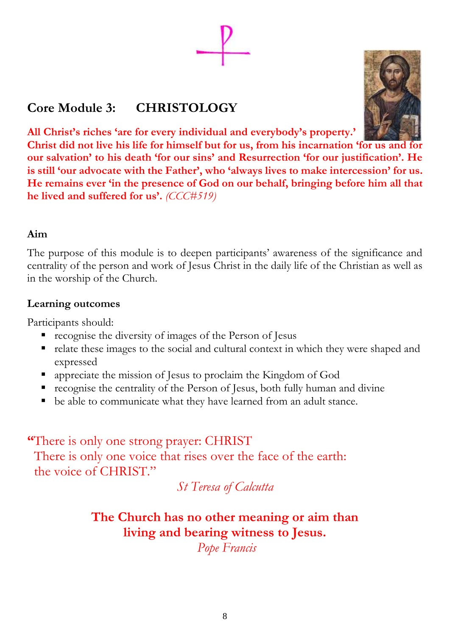# **Core Module 3: CHRISTOLOGY**

**All Christ's riches 'are for every individual and everybody's property.'**

**Christ did not live his life for himself but for us, from his incarnation 'for us and for our salvation' to his death 'for our sins' and Resurrection 'for our justification'. He is still 'our advocate with the Father', who 'always lives to make intercession' for us. He remains ever 'in the presence of God on our behalf, bringing before him all that he lived and suffered for us'.** *(CCC#519)*

# **Aim**

The purpose of this module is to deepen participants' awareness of the significance and centrality of the person and work of Jesus Christ in the daily life of the Christian as well as in the worship of the Church.

# **Learning outcomes**

Participants should:

- **recognise the diversity of images of the Person of Jesus**
- relate these images to the social and cultural context in which they were shaped and expressed
- appreciate the mission of Jesus to proclaim the Kingdom of God
- recognise the centrality of the Person of Jesus, both fully human and divine
- be able to communicate what they have learned from an adult stance.

**"**There is only one strong prayer: CHRIST There is only one voice that rises over the face of the earth: the voice of CHRIST."

*St Teresa of Calcutta*

# **The Church has no other meaning or aim than living and bearing witness to Jesus.**

*Pope Francis*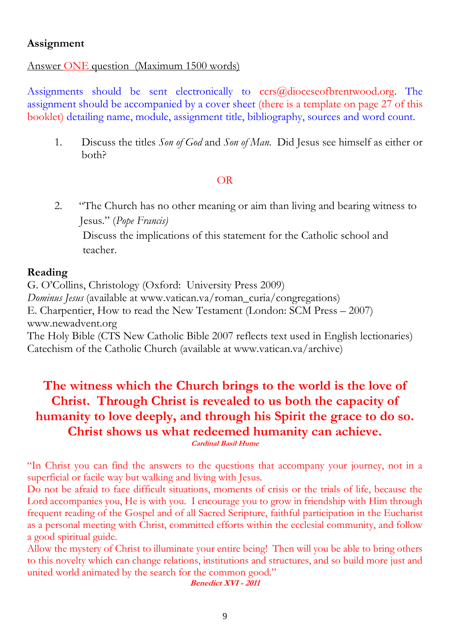# Answer ONE question (Maximum 1500 words)

Assignments should be sent electronically to  $ccrs@diocescofbrentwood.org$ . The assignment should be accompanied by a cover sheet (there is a template on page 27 of this booklet) detailing name, module, assignment title, bibliography, sources and word count.

1. Discuss the titles *Son of God* and *Son of Man*. Did Jesus see himself as either or both?

# OR

2. "The Church has no other meaning or aim than living and bearing witness to Jesus." (*Pope Francis)* 

 Discuss the implications of this statement for the Catholic school and teacher.

# **Reading**

G. O'Collins, Christology (Oxford: University Press 2009) *Dominus Jesus* (available at www.vatican.va/roman\_curia/congregations) E. Charpentier, How to read the New Testament (London: SCM Press – 2007) www.newadvent.org The Holy Bible (CTS New Catholic Bible 2007 reflects text used in English lectionaries) Catechism of the Catholic Church (available at www.vatican.va/archive)

# **The witness which the Church brings to the world is the love of Christ. Through Christ is revealed to us both the capacity of humanity to love deeply, and through his Spirit the grace to do so. Christ shows us what redeemed humanity can achieve. Cardinal Basil Hume**

"In Christ you can find the answers to the questions that accompany your journey, not in a superficial or facile way but walking and living with Jesus.

Do not be afraid to face difficult situations, moments of crisis or the trials of life, because the Lord accompanies you, He is with you. I encourage you to grow in friendship with Him through frequent reading of the Gospel and of all Sacred Scripture, faithful participation in the Eucharist as a personal meeting with Christ, committed efforts within the ecclesial community, and follow a good spiritual guide.

Allow the mystery of Christ to illuminate your entire being! Then will you be able to bring others to this novelty which can change relations, institutions and structures, and so build more just and united world animated by the search for the common good."

**Benedict XVI - <sup>2011</sup>**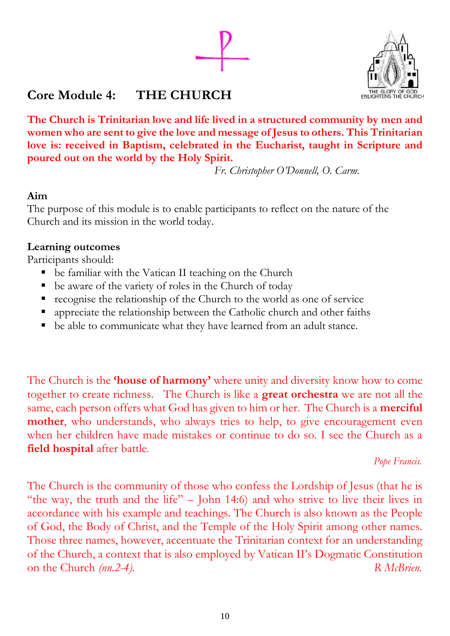



# **Core Module 4: THE CHURCH**

**The Church is Trinitarian love and life lived in a structured community by men and women who are sent to give the love and message of Jesus to others. This Trinitarian love is: received in Baptism, celebrated in the Eucharist, taught in Scripture and poured out on the world by the Holy Spirit.**

 *Fr. Christopher O'Donnell, O. Carm.* 

# **Aim**

The purpose of this module is to enable participants to reflect on the nature of the Church and its mission in the world today.

# **Learning outcomes**

Participants should:

- be familiar with the Vatican II teaching on the Church
- be aware of the variety of roles in the Church of today
- recognise the relationship of the Church to the world as one of service
- appreciate the relationship between the Catholic church and other faiths
- be able to communicate what they have learned from an adult stance.

The Church is the **'house of harmony'** where unity and diversity know how to come together to create richness. The Church is like a **great orchestra** we are not all the same, each person offers what God has given to him or her. The Church is a **merciful mother**, who understands, who always tries to help, to give encouragement even when her children have made mistakes or continue to do so. I see the Church as a **field hospital** after battle*.* 

# *Pope Francis.*

The Church is the community of those who confess the Lordship of Jesus (that he is "the way, the truth and the life" – John 14:6) and who strive to live their lives in accordance with his example and teachings. The Church is also known as the People of God, the Body of Christ, and the Temple of the Holy Spirit among other names. Those three names, however, accentuate the Trinitarian context for an understanding of the Church, a context that is also employed by Vatican II's Dogmatic Constitution on the Church *(nn.2-4)*. R *McBrien.*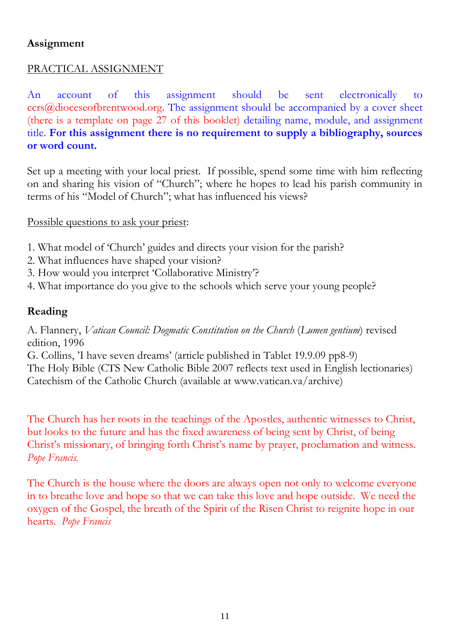# PRACTICAL ASSIGNMENT

An account of this assignment should be sent electronically to ccrs@dioceseofbrentwood.org. The assignment should be accompanied by a cover sheet (there is a template on page 27 of this booklet) detailing name, module, and assignment title. **For this assignment there is no requirement to supply a bibliography, sources or word count.**

Set up a meeting with your local priest. If possible, spend some time with him reflecting on and sharing his vision of "Church"; where he hopes to lead his parish community in terms of his "Model of Church"; what has influenced his views?

# Possible questions to ask your priest:

- 1. What model of 'Church' guides and directs your vision for the parish?
- 2. What influences have shaped your vision?
- 3. How would you interpret 'Collaborative Ministry'?
- 4. What importance do you give to the schools which serve your young people?

# **Reading**

A. Flannery, *Vatican Council: Dogmatic Constitution on the Church* (*Lumen gentium*) revised edition, 1996

G. Collins, 'I have seven dreams' (article published in Tablet 19.9.09 pp8-9) The Holy Bible (CTS New Catholic Bible 2007 reflects text used in English lectionaries) Catechism of the Catholic Church (available at www.vatican.va/archive)

The Church has her roots in the teachings of the Apostles, authentic witnesses to Christ, but looks to the future and has the fixed awareness of being sent by Christ, of being Christ's missionary, of bringing forth Christ's name by prayer, proclamation and witness. *Pope Francis.*

The Church is the house where the doors are always open not only to welcome everyone in to breathe love and hope so that we can take this love and hope outside. We need the oxygen of the Gospel, the breath of the Spirit of the Risen Christ to reignite hope in our hearts. *Pope Francis*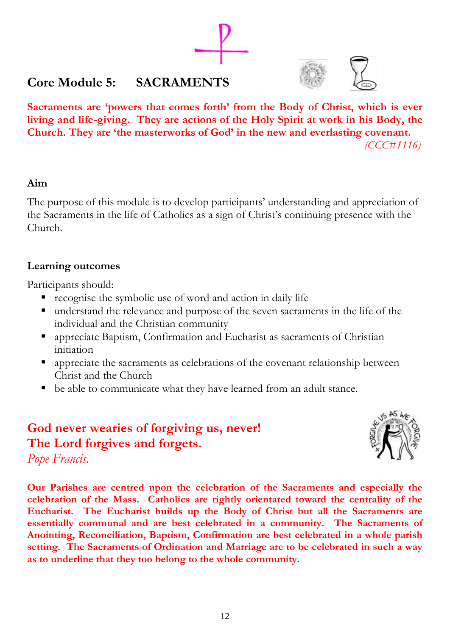# **Core Module 5: SACRAMENTS**



**Sacraments are 'powers that comes forth' from the Body of Christ, which is ever living and life-giving. They are actions of the Holy Spirit at work in his Body, the Church. They are 'the masterworks of God' in the new and everlasting covenant.** *(CCC#1116)*

# **Aim**

The purpose of this module is to develop participants' understanding and appreciation of the Sacraments in the life of Catholics as a sign of Christ's continuing presence with the Church.

# **Learning outcomes**

Participants should:

- recognise the symbolic use of word and action in daily life
- understand the relevance and purpose of the seven sacraments in the life of the individual and the Christian community
- appreciate Baptism, Confirmation and Eucharist as sacraments of Christian initiation
- appreciate the sacraments as celebrations of the covenant relationship between Christ and the Church
- be able to communicate what they have learned from an adult stance.

# **God never wearies of forgiving us, never! The Lord forgives and forgets.**



*Pope Francis.*

**Our Parishes are centred upon the celebration of the Sacraments and especially the celebration of the Mass. Catholics are rightly orientated toward the centrality of the Eucharist. The Eucharist builds up the Body of Christ but all the Sacraments are essentially communal and are best celebrated in a community. The Sacraments of Anointing, Reconciliation, Baptism, Confirmation are best celebrated in a whole parish setting. The Sacraments of Ordination and Marriage are to be celebrated in such a way as to underline that they too belong to the whole community.**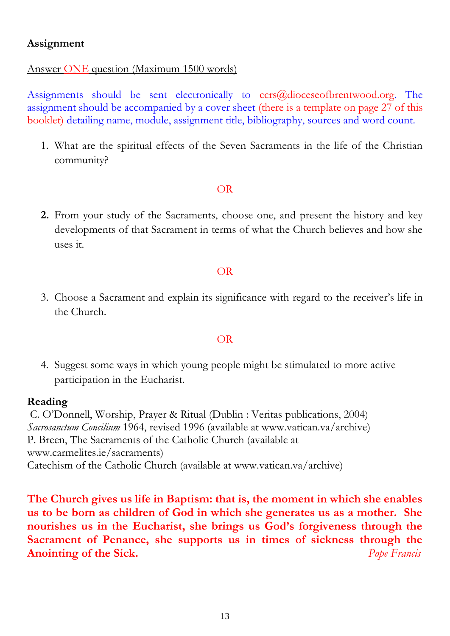# Answer ONE question (Maximum 1500 words)

Assignments should be sent electronically to  $ccrs@diocescofbrentwood.org$ . The assignment should be accompanied by a cover sheet (there is a template on page 27 of this booklet) detailing name, module, assignment title, bibliography, sources and word count.

1. What are the spiritual effects of the Seven Sacraments in the life of the Christian community?

## OR

**2.** From your study of the Sacraments, choose one, and present the history and key developments of that Sacrament in terms of what the Church believes and how she uses it.

# OR

3. Choose a Sacrament and explain its significance with regard to the receiver's life in the Church.

# OR

4. Suggest some ways in which young people might be stimulated to more active participation in the Eucharist.

# **Reading**

C. O'Donnell, Worship, Prayer & Ritual (Dublin : Veritas publications, 2004) *Sacrosanctum Concilium* 1964, revised 1996 (available at www.vatican.va/archive) P. Breen, The Sacraments of the Catholic Church (available at www.carmelites.ie/sacraments) Catechism of the Catholic Church (available at www.vatican.va/archive)

**The Church gives us life in Baptism: that is, the moment in which she enables us to be born as children of God in which she generates us as a mother. She nourishes us in the Eucharist, she brings us God's forgiveness through the Sacrament of Penance, she supports us in times of sickness through the Anointing of the Sick.** *Pope Francis*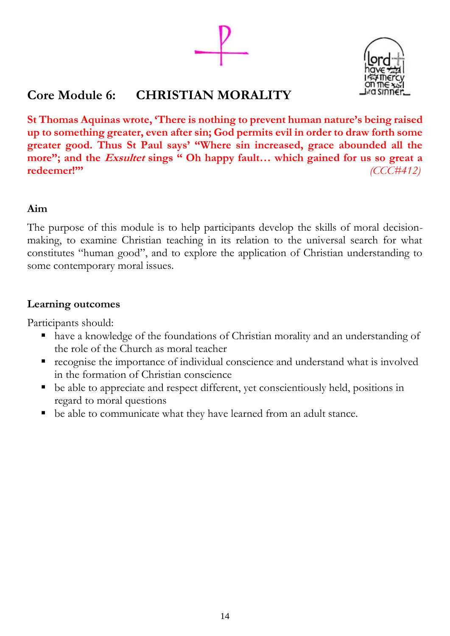

# **Core Module 6: CHRISTIAN MORALITY**

**St Thomas Aquinas wrote, 'There is nothing to prevent human nature's being raised up to something greater, even after sin; God permits evil in order to draw forth some greater good. Thus St Paul says' "Where sin increased, grace abounded all the more"; and the Exsultet sings " Oh happy fault… which gained for us so great a redeemer!"'** *(CCC#412)*

# **Aim**

The purpose of this module is to help participants develop the skills of moral decisionmaking, to examine Christian teaching in its relation to the universal search for what constitutes "human good", and to explore the application of Christian understanding to some contemporary moral issues.

# **Learning outcomes**

Participants should:

- have a knowledge of the foundations of Christian morality and an understanding of the role of the Church as moral teacher
- recognise the importance of individual conscience and understand what is involved in the formation of Christian conscience
- be able to appreciate and respect different, yet conscientiously held, positions in regard to moral questions
- be able to communicate what they have learned from an adult stance.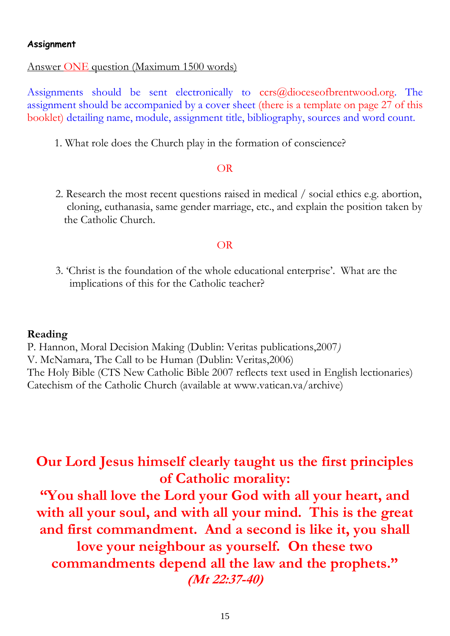## Answer ONE question (Maximum 1500 words)

Assignments should be sent electronically to ccrs@dioceseofbrentwood.org. The assignment should be accompanied by a cover sheet (there is a template on page 27 of this booklet) detailing name, module, assignment title, bibliography, sources and word count.

1. What role does the Church play in the formation of conscience?

## OR

 2. Research the most recent questions raised in medical / social ethics e.g. abortion, cloning, euthanasia, same gender marriage, etc., and explain the position taken by the Catholic Church.

## OR

 3. 'Christ is the foundation of the whole educational enterprise'. What are the implications of this for the Catholic teacher?

## **Reading**

P. Hannon, Moral Decision Making (Dublin: Veritas publications,2007*)* V. McNamara, The Call to be Human (Dublin: Veritas,2006) The Holy Bible (CTS New Catholic Bible 2007 reflects text used in English lectionaries) Catechism of the Catholic Church (available at www.vatican.va/archive)

# **Our Lord Jesus himself clearly taught us the first principles of Catholic morality:**

**"You shall love the Lord your God with all your heart, and with all your soul, and with all your mind. This is the great and first commandment. And a second is like it, you shall love your neighbour as yourself. On these two commandments depend all the law and the prophets." (Mt 22:37-40)**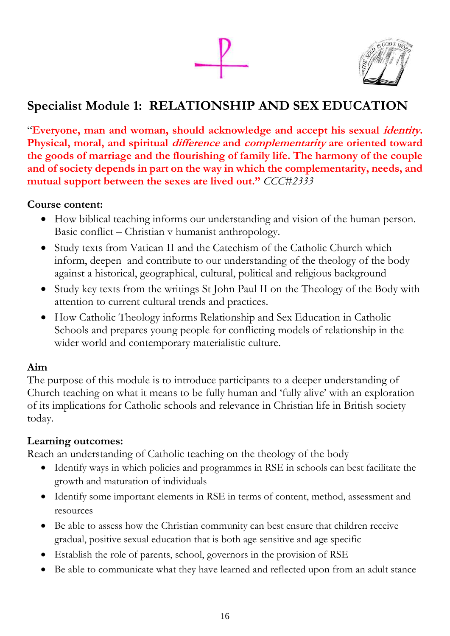

# **Specialist Module 1: RELATIONSHIP AND SEX EDUCATION**

"**Everyone, man and woman, should acknowledge and accept his sexual identity. Physical, moral, and spiritual difference and complementarity are oriented toward the goods of marriage and the flourishing of family life. The harmony of the couple and of society depends in part on the way in which the complementarity, needs, and mutual support between the sexes are lived out."** *CCC#2333*

# **Course content:**

- How biblical teaching informs our understanding and vision of the human person. Basic conflict – Christian v humanist anthropology.
- Study texts from Vatican II and the Catechism of the Catholic Church which inform, deepen and contribute to our understanding of the theology of the body against a historical, geographical, cultural, political and religious background
- Study key texts from the writings St John Paul II on the Theology of the Body with attention to current cultural trends and practices.
- How Catholic Theology informs Relationship and Sex Education in Catholic Schools and prepares young people for conflicting models of relationship in the wider world and contemporary materialistic culture.

# **Aim**

The purpose of this module is to introduce participants to a deeper understanding of Church teaching on what it means to be fully human and 'fully alive' with an exploration of its implications for Catholic schools and relevance in Christian life in British society today.

# **Learning outcomes:**

Reach an understanding of Catholic teaching on the theology of the body

- Identify ways in which policies and programmes in RSE in schools can best facilitate the growth and maturation of individuals
- Identify some important elements in RSE in terms of content, method, assessment and resources
- Be able to assess how the Christian community can best ensure that children receive gradual, positive sexual education that is both age sensitive and age specific
- Establish the role of parents, school, governors in the provision of RSE
- Be able to communicate what they have learned and reflected upon from an adult stance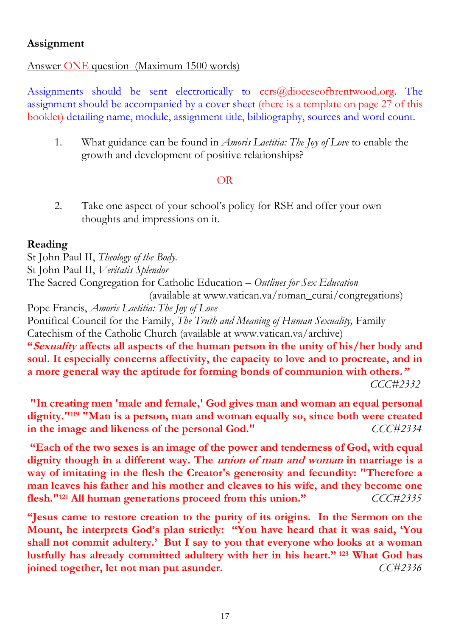# Answer ONE question (Maximum 1500 words)

Assignments should be sent electronically to  $ccrs@diocescofbrentwood.org$ . The assignment should be accompanied by a cover sheet (there is a template on page 27 of this booklet) detailing name, module, assignment title, bibliography, sources and word count.

1. What guidance can be found in *Amoris Laetitia: The Joy of Love* to enable the growth and development of positive relationships?

# OR

2. Take one aspect of your school's policy for RSE and offer your own thoughts and impressions on it.

# **Reading**

St John Paul II, *Theology of the Body.* St John Paul II, *Veritatis Splendor* The Sacred Congregation for Catholic Education – *Outlines for Sex Education* (available at www.vatican.va/roman\_curai/congregations) Pope Francis, *Amoris Laetitia: The Joy of Love*

Pontifical Council for the Family, *The Truth and Meaning of Human Sexuality,* Family Catechism of the Catholic Church (available at www.vatican.va/archive)

**"Sexuality affects all aspects of the human person in the unity of his/her body and soul. It especially concerns affectivity, the capacity to love and to procreate, and in a more general way the aptitude for forming bonds of communion with others."**

 *CCC#2332*

**"In creating men 'male and female,' God gives man and woman an equal personal dignity."<sup>119</sup> "Man is a person, man and woman equally so, since both were created in the image and likeness of the personal God."** *CCC#2334*

**"Each of the two sexes is an image of the power and tenderness of God, with equal dignity though in a different way. The union of man and woman in marriage is a way of imitating in the flesh the Creator's generosity and fecundity: "Therefore a man leaves his father and his mother and cleaves to his wife, and they become one flesh."<sup>121</sup> All human generations proceed from this union."** *CCC#2335*

**"Jesus came to restore creation to the purity of its origins. In the Sermon on the Mount, he interprets God's plan strictly: "You have heard that it was said, 'You shall not commit adultery.' But I say to you that everyone who looks at a woman lustfully has already committed adultery with her in his heart." <sup>123</sup> What God has joined together, let not man put asunder.** *CC#2336*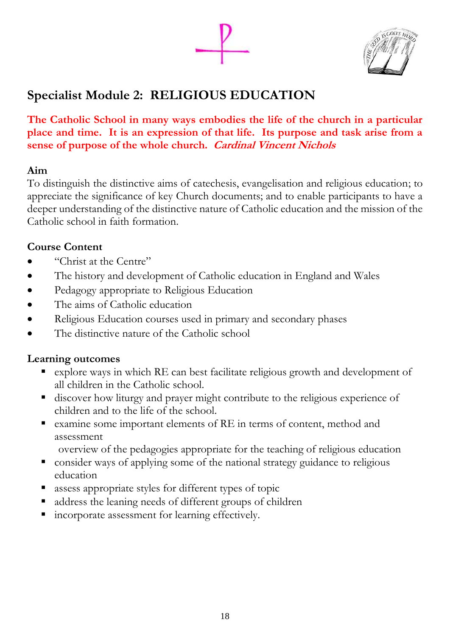

# **Specialist Module 2: RELIGIOUS EDUCATION**

**The Catholic School in many ways embodies the life of the church in a particular place and time. It is an expression of that life. Its purpose and task arise from a sense of purpose of the whole church. Cardinal Vincent Nichols**

# **Aim**

To distinguish the distinctive aims of catechesis, evangelisation and religious education; to appreciate the significance of key Church documents; and to enable participants to have a deeper understanding of the distinctive nature of Catholic education and the mission of the Catholic school in faith formation.

# **Course Content**

- "Christ at the Centre"
- The history and development of Catholic education in England and Wales
- Pedagogy appropriate to Religious Education
- The aims of Catholic education
- Religious Education courses used in primary and secondary phases
- The distinctive nature of the Catholic school

# **Learning outcomes**

- explore ways in which RE can best facilitate religious growth and development of all children in the Catholic school.
- discover how liturgy and prayer might contribute to the religious experience of children and to the life of the school.
- examine some important elements of RE in terms of content, method and assessment
	- overview of the pedagogies appropriate for the teaching of religious education
- consider ways of applying some of the national strategy guidance to religious education
- assess appropriate styles for different types of topic
- address the leaning needs of different groups of children
- incorporate assessment for learning effectively.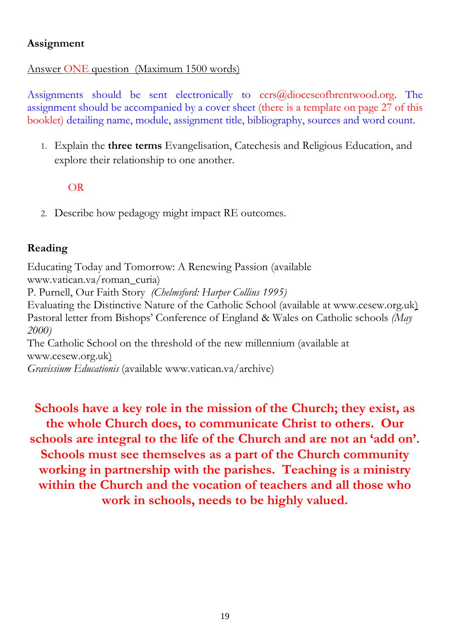# Answer ONE question (Maximum 1500 words)

Assignments should be sent electronically to  $ccrs@diocescofbrentwood.org$ . The assignment should be accompanied by a cover sheet (there is a template on page 27 of this booklet) detailing name, module, assignment title, bibliography, sources and word count.

1. Explain the **three terms** Evangelisation, Catechesis and Religious Education, and explore their relationship to one another.

# OR

2. Describe how pedagogy might impact RE outcomes.

# **Reading**

Educating Today and Tomorrow: A Renewing Passion (available www.vatican.va/roman\_curia) P. Purnell, Our Faith Story *(Chelmsford: Harper Collins 1995)* Evaluating the Distinctive Nature of the Catholic School (available at [www.cesew.org.uk\)](http://www.cesew.org.uk/) Pastoral letter from Bishops' Conference of England & Wales on Catholic schools *(May 2000)* The Catholic School on the threshold of the new millennium (available at [www.cesew.org.uk\)](http://www.cesew.org.uk/) *Gravissium Educationis* (available www.vatican.va/archive)

**Schools have a key role in the mission of the Church; they exist, as the whole Church does, to communicate Christ to others. Our schools are integral to the life of the Church and are not an 'add on'. Schools must see themselves as a part of the Church community working in partnership with the parishes. Teaching is a ministry within the Church and the vocation of teachers and all those who work in schools, needs to be highly valued.**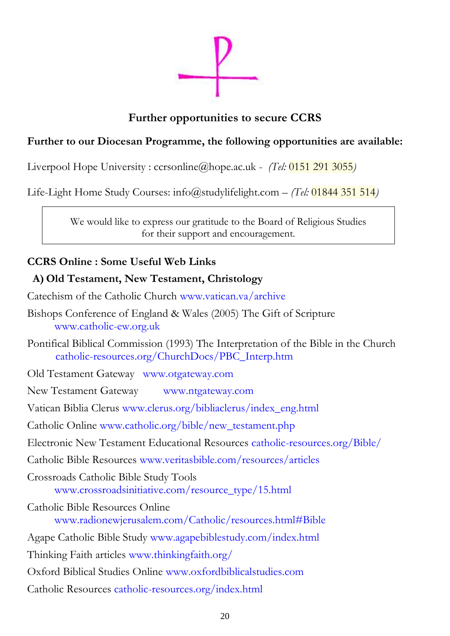

# **Further opportunities to secure CCRS**

# **Further to our Diocesan Programme, the following opportunities are available:**

Liverpool Hope University : ccrsonline@hope.ac.uk - *(Tel:* 0151 291 3055*)*

Life-Light Home Study Courses: info@stud[ylifelight.com](mailto:lifelight.com) – *(Tel:* 01844 351 514*)*

We would like to express our gratitude to the Board of Religious Studies for their support and encouragement.

# **CCRS Online : Some Useful Web Links**

# **A) Old Testament, New Testament, Christology**

- Catechism of the Catholic Church [www.vatican.va/archive](http://www.vatican.va/archive/ENG0015/_INDEX.HTM)
- Bishops Conference of England & Wales (2005) The Gift of Scripture www.catholic-ew.org.uk
- Pontifical Biblical Commission (1993) The Interpretation of the Bible in the Church [catholic-resources.org/ChurchDocs/PBC\\_Interp.htm](http://catholic-resources.org/ChurchDocs/PBC_Interp.htm)
- Old Testament Gateway [www.otgateway.com](javascript:doWindowOpen()
- New Testament Gateway [www.ntgateway.com](http://www.ntgateway.com/)
- Vatican Biblia Clerus [www.clerus.org/bibliaclerus/index\\_eng.html](http://www.clerus.org/bibliaclerus/index_eng.html)
- Catholic Online [www.catholic.org/bible/new\\_testament.php](http://www.catholic.org/bible/new_testament.php)
- Electronic New Testament Educational Resources [catholic-resources.org/Bible/](http://catholic-resources.org/Bible/)
- Catholic Bible Resources [www.veritasbible.com/resources/articles](http://www.veritasbible.com/resources/articles)
- Crossroads Catholic Bible Study Tools [www.crossroadsinitiative.com/resource\\_type/15.html](http://www.crossroadsinitiative.com/resource_type/15.html)
- Catholic Bible Resources Online [www.radionewjerusalem.com/Catholic/resources.html#Bible](http://www.radionewjerusalem.com/Catholic/resources.html#Bible)
- Agape Catholic Bible Study [www.agapebiblestudy.com/index.html](http://www.agapebiblestudy.com/index.html)
- Thinking Faith articles [www.thinkingfaith.org/](http://www.thinkingfaith.org/)
- Oxford Biblical Studies Online [www.oxfordbiblicalstudies.com](http://www.oxfordbiblicalstudies.com/)
- Catholic Resources [catholic-resources.org/index.html](http://catholic-resources.org/index.html)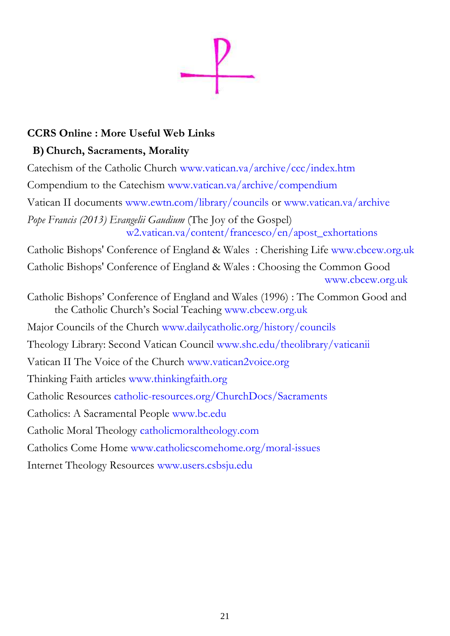

# **CCRS Online : More Useful Web Links**

# **B)Church, Sacraments, Morality**

Catechism of the Catholic Church [www.vatican.va/archive/ccc/index.htm](http://www.vatican.va/archive/ccc/index.htm) Compendium to the Catechism www.vatican.va/archive/compendium Vatican II documents [www.ewtn.com/library/councils](http://www.ewtn.com/library/councils) or [www.vatican.va/archive](http://www.vatican.va/archive/hist_councils/ii_vatican_council/) *Pope Francis (2013) Evangelii Gaudium* (The Joy of the Gospel) w2.vatican.va/content/francesco/en/apost\_exhortations Catholic Bishops' Conference of England & Wales : Cherishing Life www.cbcew.org.uk Catholic Bishops' Conference of England & Wales : Choosing the Common Good [www.cbcew.org.uk](http://www.cbcew.org.uk/page4017.html?pid=443) Catholic Bishops' Conference of England and Wales (1996) : The Common Good and the Catholic Church's Social Teaching [www.cbcew.org.uk](http://www.cbcew.org.uk/) Major Councils of the Church [www.dailycatholic.org/history/councils](http://www.dailycatholic.org/history/councils) Theology Library: Second Vatican Council www.shc.edu/theolibrary/vaticanii Vatican II The Voice of the Church [www.vatican2voice.org](http://www.vatican2voice.org/) Thinking Faith articles [www.thinkingfaith.org](http://www.thinkingfaith.org/) Catholic Resources [catholic-resources.org/ChurchDocs/Sacraments](http://catholic-resources.org/ChurchDocs/Sacraments.htm) Catholics: A Sacramental People www.bc.edu Catholic Moral Theology catholicmoraltheology.com Catholics Come Home [www.catholicscomehome.org/moral-issues](http://www.catholicscomehome.org/moral-issues) Internet Theology Resources [www.users.csbsju.edu](http://www.users.csbsju.edu/)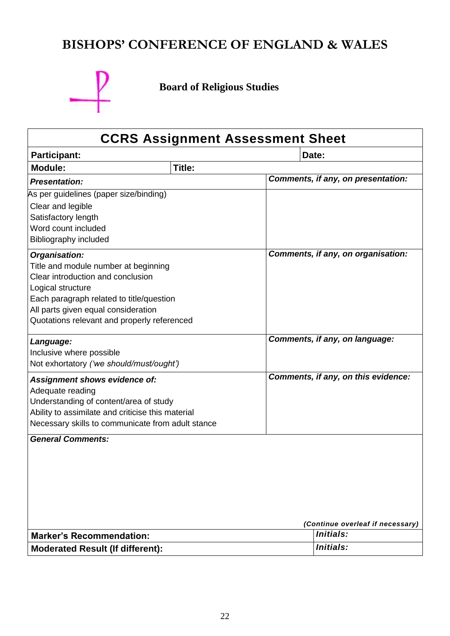# **BISHOPS' CONFERENCE OF ENGLAND & WALES**



**Board of Religious Studies**

# **CCRS Assignment Assessment Sheet Participant: Date: Module: Title:** *Presentation: Comments, if any, on presentation:* As per guidelines (paper size/binding) Clear and legible Satisfactory length Word count included Bibliography included *Organisation:* Title and module number at beginning Clear introduction and conclusion Logical structure Each paragraph related to title/question All parts given equal consideration Quotations relevant and properly referenced *Comments, if any, on organisation: Language:* Inclusive where possible Not exhortatory *('we should/must/ought') Comments, if any, on language: Assignment shows evidence of:* Adequate reading Understanding of content/area of study Ability to assimilate and criticise this material Necessary skills to communicate from adult stance *Comments, if any, on this evidence: General Comments: (Continue overleaf if necessary)* **Marker's Recommendation:** *Initials:* **Moderated Result (If different):** *Initials:*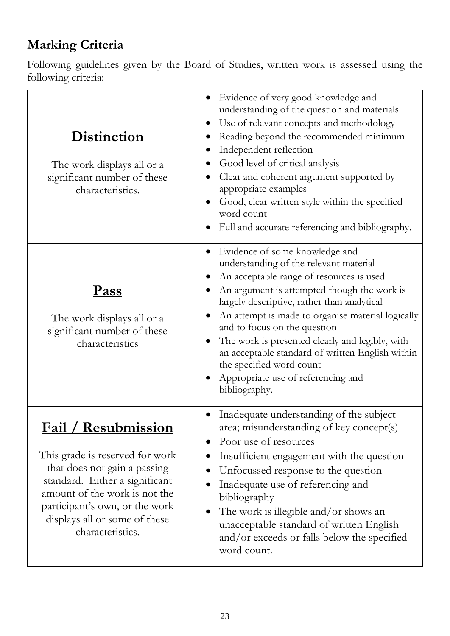# **Marking Criteria**

Following guidelines given by the Board of Studies, written work is assessed using the following criteria:

| <b>Distinction</b><br>The work displays all or a<br>significant number of these<br>characteristics.                                                                                                                                                      | Evidence of very good knowledge and<br>understanding of the question and materials<br>Use of relevant concepts and methodology<br>$\bullet$<br>Reading beyond the recommended minimum<br>Independent reflection<br>Good level of critical analysis<br>Clear and coherent argument supported by<br>appropriate examples<br>Good, clear written style within the specified<br>word count<br>Full and accurate referencing and bibliography.                                                                                   |
|----------------------------------------------------------------------------------------------------------------------------------------------------------------------------------------------------------------------------------------------------------|-----------------------------------------------------------------------------------------------------------------------------------------------------------------------------------------------------------------------------------------------------------------------------------------------------------------------------------------------------------------------------------------------------------------------------------------------------------------------------------------------------------------------------|
| <u>Pass</u><br>The work displays all or a<br>significant number of these<br>characteristics                                                                                                                                                              | Evidence of some knowledge and<br>$\bullet$<br>understanding of the relevant material<br>An acceptable range of resources is used<br>An argument is attempted though the work is<br>largely descriptive, rather than analytical<br>An attempt is made to organise material logically<br>and to focus on the question<br>The work is presented clearly and legibly, with<br>an acceptable standard of written English within<br>the specified word count<br>Appropriate use of referencing and<br>$\bullet$<br>bibliography. |
| <u> Fail / Resubmission</u><br>This grade is reserved for work<br>that does not gain a passing<br>standard. Either a significant<br>amount of the work is not the<br>participant's own, or the work<br>displays all or some of these<br>characteristics. | Inadequate understanding of the subject<br>area; misunderstanding of key concept(s)<br>Poor use of resources<br>Insufficient engagement with the question<br>Unfocussed response to the question<br>Inadequate use of referencing and<br>bibliography<br>The work is illegible and/or shows an<br>unacceptable standard of written English<br>and/or exceeds or falls below the specified<br>word count.                                                                                                                    |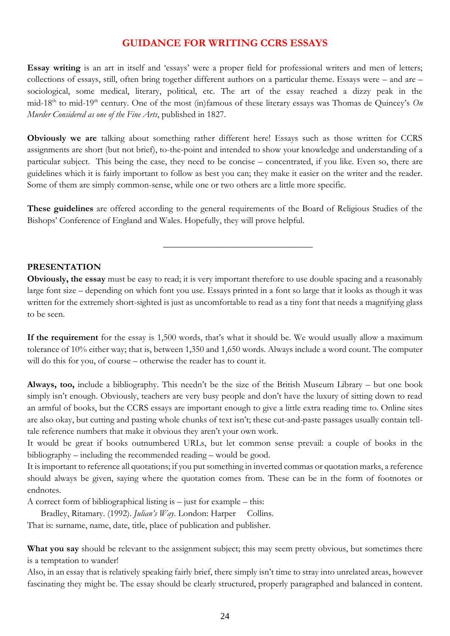## **GUIDANCE FOR WRITING CCRS ESSAYS**

**Essay writing** is an art in itself and 'essays' were a proper field for professional writers and men of letters; collections of essays, still, often bring together different authors on a particular theme. Essays were – and are – sociological, some medical, literary, political, etc. The art of the essay reached a dizzy peak in the mid-18<sup>th</sup> to mid-19<sup>th</sup> century. One of the most (in)famous of these literary essays was Thomas de Quincey's *On Murder Considered as one of the Fine Arts*, published in 1827.

**Obviously we are** talking about something rather different here! Essays such as those written for CCRS assignments are short (but not brief), to-the-point and intended to show your knowledge and understanding of a particular subject. This being the case, they need to be concise – concentrated, if you like. Even so, there are guidelines which it is fairly important to follow as best you can; they make it easier on the writer and the reader. Some of them are simply common-sense, while one or two others are a little more specific.

**These guidelines** are offered according to the general requirements of the Board of Religious Studies of the Bishops' Conference of England and Wales. Hopefully, they will prove helpful.

\_\_\_\_\_\_\_\_\_\_\_\_\_\_\_\_\_\_\_\_\_\_\_\_\_\_\_\_\_\_\_\_\_

### **PRESENTATION**

**Obviously, the essay** must be easy to read; it is very important therefore to use double spacing and a reasonably large font size – depending on which font you use. Essays printed in a font so large that it looks as though it was written for the extremely short-sighted is just as uncomfortable to read as a tiny font that needs a magnifying glass to be seen.

**If the requirement** for the essay is 1,500 words, that's what it should be. We would usually allow a maximum tolerance of 10% either way; that is, between 1,350 and 1,650 words. Always include a word count. The computer will do this for you, of course – otherwise the reader has to count it.

**Always, too,** include a bibliography. This needn't be the size of the British Museum Library – but one book simply isn't enough. Obviously, teachers are very busy people and don't have the luxury of sitting down to read an armful of books, but the CCRS essays are important enough to give a little extra reading time to. Online sites are also okay, but cutting and pasting whole chunks of text isn't; these cut-and-paste passages usually contain telltale reference numbers that make it obvious they aren't your own work.

It would be great if books outnumbered URLs, but let common sense prevail: a couple of books in the bibliography – including the recommended reading – would be good.

It is important to reference all quotations; if you put something in inverted commas or quotation marks, a reference should always be given, saying where the quotation comes from. These can be in the form of footnotes or endnotes.

A correct form of bibliographical listing is  $-$  just for example – this:

Bradley, Ritamary. (1992). *Julian's Way*. London: Harper Collins.

That is: surname, name, date, title, place of publication and publisher.

What you say should be relevant to the assignment subject; this may seem pretty obvious, but sometimes there is a temptation to wander!

Also, in an essay that is relatively speaking fairly brief, there simply isn't time to stray into unrelated areas, however fascinating they might be. The essay should be clearly structured, properly paragraphed and balanced in content.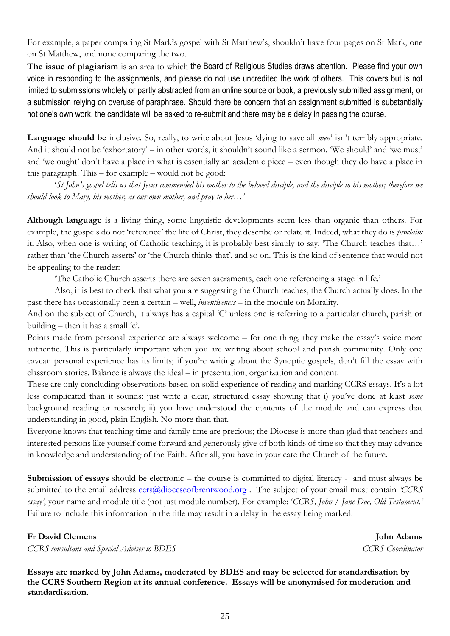For example, a paper comparing St Mark's gospel with St Matthew's, shouldn't have four pages on St Mark, one on St Matthew, and none comparing the two.

**The issue of plagiarism** is an area to which the Board of Religious Studies draws attention. Please find your own voice in responding to the assignments, and please do not use uncredited the work of others. This covers but is not limited to submissions wholely or partly abstracted from an online source or book, a previously submitted assignment, or a submission relying on overuse of paraphrase. Should there be concern that an assignment submitted is substantially not one's own work, the candidate will be asked to re-submit and there may be a delay in passing the course.

**Language should be** inclusive. So, really, to write about Jesus 'dying to save all *men*' isn't terribly appropriate. And it should not be 'exhortatory' – in other words, it shouldn't sound like a sermon. 'We should' and 'we must' and 'we ought' don't have a place in what is essentially an academic piece – even though they do have a place in this paragraph. This – for example – would not be good:

'*St John's gospel tells us that Jesus commended his mother to the beloved disciple, and the disciple to his mother; therefore we should look to Mary, his mother, as our own mother, and pray to her…'*

**Although language** is a living thing, some linguistic developments seem less than organic than others. For example, the gospels do not 'reference' the life of Christ, they describe or relate it. Indeed, what they do is *proclaim*  it. Also, when one is writing of Catholic teaching, it is probably best simply to say: 'The Church teaches that…' rather than 'the Church asserts' or 'the Church thinks that', and so on. This is the kind of sentence that would not be appealing to the reader:

'The Catholic Church asserts there are seven sacraments, each one referencing a stage in life.'

Also, it is best to check that what you are suggesting the Church teaches, the Church actually does. In the past there has occasionally been a certain – well, *inventiveness* – in the module on Morality.

And on the subject of Church, it always has a capital 'C' unless one is referring to a particular church, parish or building – then it has a small 'c'.

Points made from personal experience are always welcome – for one thing, they make the essay's voice more authentic. This is particularly important when you are writing about school and parish community. Only one caveat: personal experience has its limits; if you're writing about the Synoptic gospels, don't fill the essay with classroom stories. Balance is always the ideal – in presentation, organization and content.

These are only concluding observations based on solid experience of reading and marking CCRS essays. It's a lot less complicated than it sounds: just write a clear, structured essay showing that i) you've done at least *some* background reading or research; ii) you have understood the contents of the module and can express that understanding in good, plain English. No more than that.

Everyone knows that teaching time and family time are precious; the Diocese is more than glad that teachers and interested persons like yourself come forward and generously give of both kinds of time so that they may advance in knowledge and understanding of the Faith. After all, you have in your care the Church of the future.

**Submission of essays** should be electronic – the course is committed to digital literacy - and must always be submitted to the email address [ccrs@dioceseofbrentwood.org](mailto:ccrs@dioceseofbrentwood.org) . The subject of your email must contain *'CCRS essay'*, your name and module title (not just module number). For example: '*CCRS, John / Jane Doe, Old Testament.'*  Failure to include this information in the title may result in a delay in the essay being marked.

## **Fr David Clemens** John Adams

*CCRS consultant and Special Adviser to BDES CCRS Coordinator*

**Essays are marked by John Adams, moderated by BDES and may be selected for standardisation by the CCRS Southern Region at its annual conference. Essays will be anonymised for moderation and standardisation.**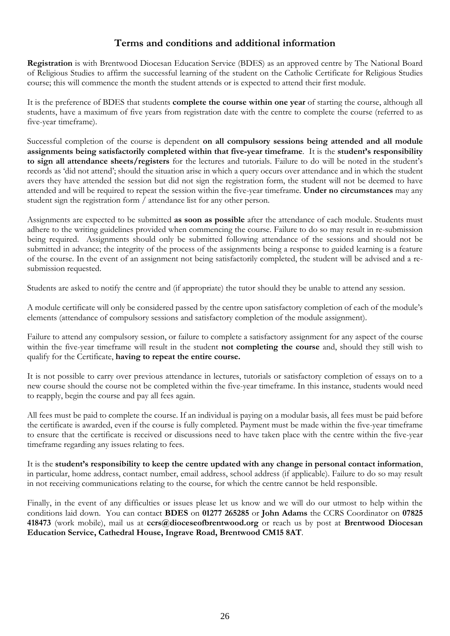## **Terms and conditions and additional information**

**Registration** is with Brentwood Diocesan Education Service (BDES) as an approved centre by The National Board of Religious Studies to affirm the successful learning of the student on the Catholic Certificate for Religious Studies course; this will commence the month the student attends or is expected to attend their first module.

It is the preference of BDES that students **complete the course within one year** of starting the course, although all students, have a maximum of five years from registration date with the centre to complete the course (referred to as five-year timeframe).

Successful completion of the course is dependent **on all compulsory sessions being attended and all module assignments being satisfactorily completed within that five-year timeframe**. It is the **student's responsibility to sign all attendance sheets/registers** for the lectures and tutorials. Failure to do will be noted in the student's records as 'did not attend'; should the situation arise in which a query occurs over attendance and in which the student avers they have attended the session but did not sign the registration form, the student will not be deemed to have attended and will be required to repeat the session within the five-year timeframe. **Under no circumstances** may any student sign the registration form / attendance list for any other person.

Assignments are expected to be submitted **as soon as possible** after the attendance of each module. Students must adhere to the writing guidelines provided when commencing the course. Failure to do so may result in re-submission being required. Assignments should only be submitted following attendance of the sessions and should not be submitted in advance; the integrity of the process of the assignments being a response to guided learning is a feature of the course. In the event of an assignment not being satisfactorily completed, the student will be advised and a resubmission requested.

Students are asked to notify the centre and (if appropriate) the tutor should they be unable to attend any session.

A module certificate will only be considered passed by the centre upon satisfactory completion of each of the module's elements (attendance of compulsory sessions and satisfactory completion of the module assignment).

Failure to attend any compulsory session, or failure to complete a satisfactory assignment for any aspect of the course within the five-year timeframe will result in the student **not completing the course** and, should they still wish to qualify for the Certificate, **having to repeat the entire course.**

It is not possible to carry over previous attendance in lectures, tutorials or satisfactory completion of essays on to a new course should the course not be completed within the five-year timeframe. In this instance, students would need to reapply, begin the course and pay all fees again.

All fees must be paid to complete the course. If an individual is paying on a modular basis, all fees must be paid before the certificate is awarded, even if the course is fully completed. Payment must be made within the five-year timeframe to ensure that the certificate is received or discussions need to have taken place with the centre within the five-year timeframe regarding any issues relating to fees.

It is the **student's responsibility to keep the centre updated with any change in personal contact information**, in particular, home address, contact number, email address, school address (if applicable). Failure to do so may result in not receiving communications relating to the course, for which the centre cannot be held responsible.

Finally, in the event of any difficulties or issues please let us know and we will do our utmost to help within the conditions laid down. You can contact **BDES** on **01277 265285** or **John Adams** the CCRS Coordinator on **07825 418473** (work mobile), mail us at **ccrs@dioceseofbrentwood.org** or reach us by post at **Brentwood Diocesan Education Service, Cathedral House, Ingrave Road, Brentwood CM15 8AT**.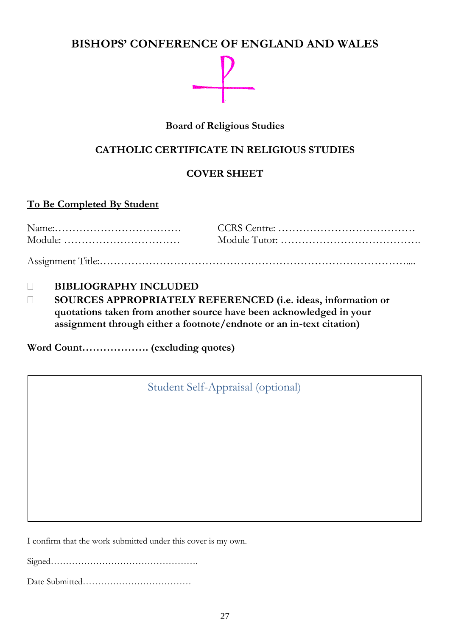# **BISHOPS' CONFERENCE OF ENGLAND AND WALES**



# **Board of Religious Studies**

# **CATHOLIC CERTIFICATE IN RELIGIOUS STUDIES**

# **COVER SHEET**

# **To Be Completed By Student**

# **BIBLIOGRAPHY INCLUDED**

 **SOURCES APPROPRIATELY REFERENCED (i.e. ideas, information or quotations taken from another source have been acknowledged in your assignment through either a footnote/endnote or an in-text citation)**

**Word Count………………. (excluding quotes)**

Student Self-Appraisal (optional)

I confirm that the work submitted under this cover is my own.

Signed………………………………………….

Date Submitted………………………………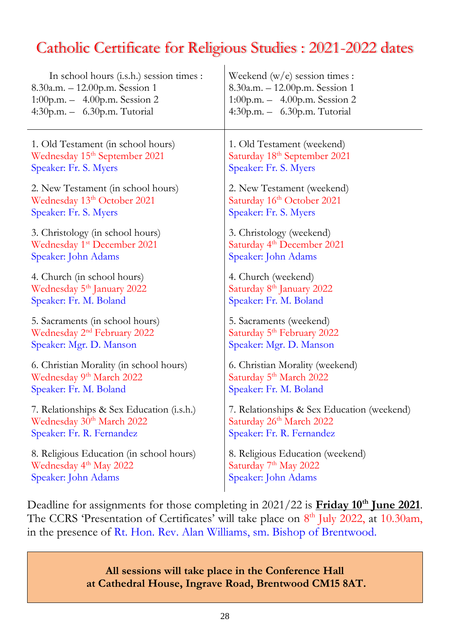# Catholic Certificate for Religious Studies : 2021-2022 dates

| In school hours (i.s.h.) session times :                                 | Weekend $(w/e)$ session times :                                                                                                                                                                              |  |
|--------------------------------------------------------------------------|--------------------------------------------------------------------------------------------------------------------------------------------------------------------------------------------------------------|--|
| 8.30a.m. - 12.00p.m. Session 1                                           | 8.30a.m. - 12.00p.m. Session 1                                                                                                                                                                               |  |
| 1:00p.m. $-$ 4.00p.m. Session 2                                          | 1:00p.m. - 4.00p.m. Session 2                                                                                                                                                                                |  |
| 4:30p.m. - 6.30p.m. Tutorial                                             | 4:30p.m. - 6.30p.m. Tutorial                                                                                                                                                                                 |  |
| 1. Old Testament (in school hours)                                       | 1. Old Testament (weekend)                                                                                                                                                                                   |  |
| Wednesday 15 <sup>th</sup> September 2021                                | Saturday 18th September 2021                                                                                                                                                                                 |  |
| Speaker: Fr. S. Myers                                                    | Speaker: Fr. S. Myers                                                                                                                                                                                        |  |
| 2. New Testament (in school hours)                                       | 2. New Testament (weekend)                                                                                                                                                                                   |  |
| Wednesday 13th October 2021                                              | Saturday 16th October 2021                                                                                                                                                                                   |  |
| Speaker: Fr. S. Myers                                                    | Speaker: Fr. S. Myers                                                                                                                                                                                        |  |
| 3. Christology (in school hours)                                         | 3. Christology (weekend)                                                                                                                                                                                     |  |
| Wednesday 1 <sup>st</sup> December 2021                                  | Saturday 4 <sup>th</sup> December 2021                                                                                                                                                                       |  |
| Speaker: John Adams                                                      | Speaker: John Adams                                                                                                                                                                                          |  |
| 4. Church (in school hours)                                              | 4. Church (weekend)                                                                                                                                                                                          |  |
| Wednesday 5 <sup>th</sup> January 2022                                   | Saturday 8 <sup>th</sup> January 2022                                                                                                                                                                        |  |
| Speaker: Fr. M. Boland                                                   | Speaker: Fr. M. Boland                                                                                                                                                                                       |  |
| 5. Sacraments (in school hours)                                          | 5. Sacraments (weekend)                                                                                                                                                                                      |  |
| Wednesday 2 <sup>nd</sup> February 2022                                  | Saturday 5 <sup>th</sup> February 2022                                                                                                                                                                       |  |
| Speaker: Mgr. D. Manson                                                  | Speaker: Mgr. D. Manson                                                                                                                                                                                      |  |
| 6. Christian Morality (in school hours)                                  | 6. Christian Morality (weekend)                                                                                                                                                                              |  |
| Wednesday 9 <sup>th</sup> March 2022                                     | Saturday 5 <sup>th</sup> March 2022                                                                                                                                                                          |  |
| Speaker: Fr. M. Boland                                                   | Speaker: Fr. M. Boland                                                                                                                                                                                       |  |
| 7. Relationships & Sex Education (i.s.h.)                                | 7. Relationships & Sex Education (weekend)                                                                                                                                                                   |  |
| Wednesday 30 <sup>th</sup> March 2022                                    | Saturday 26th March 2022                                                                                                                                                                                     |  |
| Speaker: Fr. R. Fernandez                                                | Speaker: Fr. R. Fernandez                                                                                                                                                                                    |  |
| 8. Religious Education (in school hours)                                 | 8. Religious Education (weekend)                                                                                                                                                                             |  |
| Wednesday 4 <sup>th</sup> May 2022                                       | Saturday 7 <sup>th</sup> May 2022                                                                                                                                                                            |  |
| Speaker: John Adams                                                      | Speaker: John Adams                                                                                                                                                                                          |  |
| in the presence of Rt. Hon. Rev. Alan Williams, sm. Bishop of Brentwood. | Deadline for assignments for those completing in $2021/22$ is <b>Friday 10<sup>th</sup> June 2021</b> .<br>The CCRS 'Presentation of Certificates' will take place on 8 <sup>th</sup> July 2022, at 10.30am, |  |

**All sessions will take place in the Conference Hall at Cathedral House, Ingrave Road, Brentwood CM15 8AT.**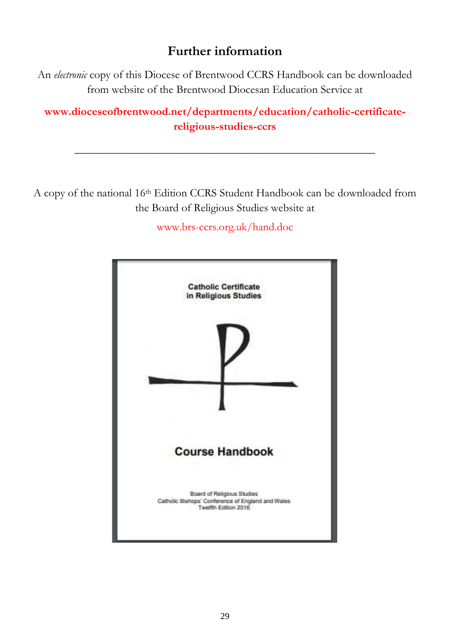# **Further information**

An *electronic* copy of this Diocese of Brentwood CCRS Handbook can be downloaded from website of the Brentwood Diocesan Education Service at

**www.dioceseofbrentwood.net/departments/education/catholic-certificatereligious-studies-ccrs**

**\_\_\_\_\_\_\_\_\_\_\_\_\_\_\_\_\_\_\_\_\_\_\_\_\_\_\_\_\_\_\_\_\_\_\_\_\_\_\_\_\_\_\_\_\_\_\_\_\_\_\_\_\_**

A copy of the national 16th Edition CCRS Student Handbook can be downloaded from the Board of Religious Studies website at

www.brs-ccrs.org.uk/hand.doc

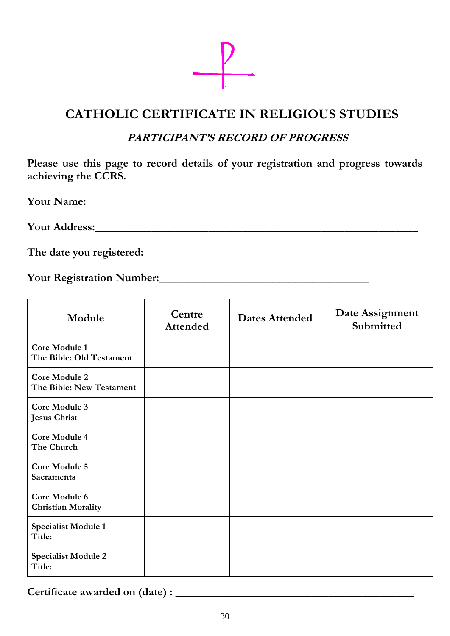

# **CATHOLIC CERTIFICATE IN RELIGIOUS STUDIES**

# **PARTICIPANT'S RECORD OF PROGRESS**

**Please use this page to record details of your registration and progress towards achieving the CCRS.**

**Your Name:\_\_\_\_\_\_\_\_\_\_\_\_\_\_\_\_\_\_\_\_\_\_\_\_\_\_\_\_\_\_\_\_\_\_\_\_\_\_\_\_\_\_\_\_\_\_\_\_\_\_\_\_\_\_\_\_\_\_\_**

**Your Address:\_\_\_\_\_\_\_\_\_\_\_\_\_\_\_\_\_\_\_\_\_\_\_\_\_\_\_\_\_\_\_\_\_\_\_\_\_\_\_\_\_\_\_\_\_\_\_\_\_\_\_\_\_\_\_\_\_**

The date you registered:

**Your Registration Number:\_\_\_\_\_\_\_\_\_\_\_\_\_\_\_\_\_\_\_\_\_\_\_\_\_\_\_\_\_\_\_\_\_\_\_\_\_**

| Module                                           | Centre<br><b>Attended</b> | <b>Dates Attended</b> | Date Assignment<br>Submitted |
|--------------------------------------------------|---------------------------|-----------------------|------------------------------|
| Core Module 1<br>The Bible: Old Testament        |                           |                       |                              |
| <b>Core Module 2</b><br>The Bible: New Testament |                           |                       |                              |
| Core Module 3<br><b>Jesus Christ</b>             |                           |                       |                              |
| <b>Core Module 4</b><br>The Church               |                           |                       |                              |
| <b>Core Module 5</b><br><b>Sacraments</b>        |                           |                       |                              |
| Core Module 6<br><b>Christian Morality</b>       |                           |                       |                              |
| <b>Specialist Module 1</b><br>Title:             |                           |                       |                              |
| <b>Specialist Module 2</b><br>Title:             |                           |                       |                              |

**Certificate awarded on (date) : \_\_\_\_\_\_\_\_\_\_\_\_\_\_\_\_\_\_\_\_\_\_\_\_\_\_\_\_\_\_\_\_\_\_\_\_\_\_\_\_\_\_**